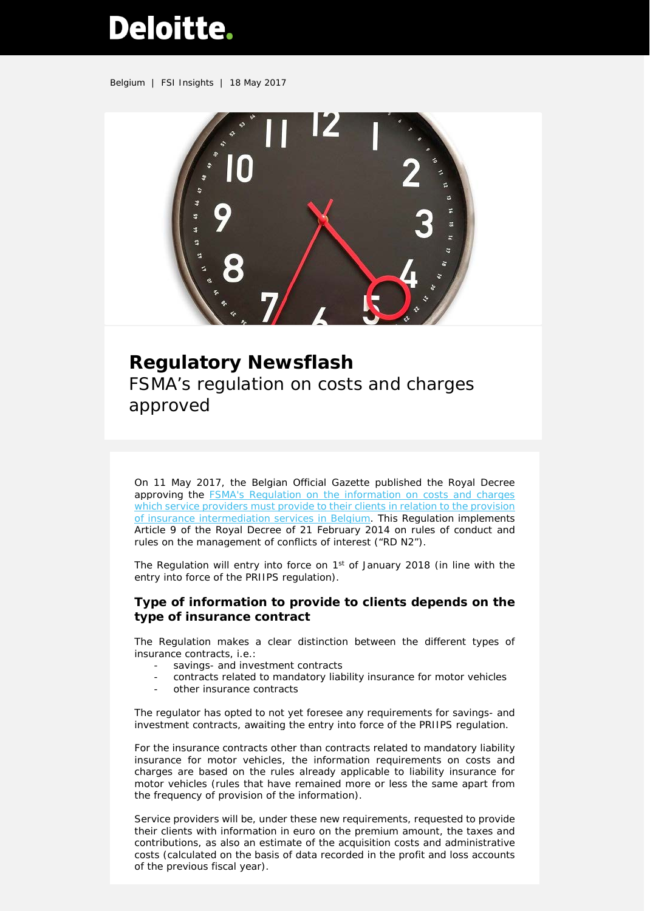# Deloitte.

Belgium | FSI Insights | 18 May 2017



## **Regulatory Newsflash** FSMA's regulation on costs and charges approved

On 11 May 2017, the Belgian Official Gazette published the Royal Decree approving the FSMA's Regulation [on the information on costs and charges](http://www.ejustice.just.fgov.be/cgi_loi/loi_a.pl?imgcn.y=7&language=fr&rech=&tri=dd+as+rank&numero=7&table_name=LOI&caller=image_a1&row_id=1&cn=2017050203&fromtab=loi&imgcn.x=71&DETAIL=2017050203/F&nm=2017011974&la=F&pdf_page=35&pdf_file=http://www.ejustice.just.fgov.be/mopdf/2017/05/11_1.pdf)  [which service providers must provide](http://www.ejustice.just.fgov.be/cgi_loi/loi_a.pl?imgcn.y=7&language=fr&rech=&tri=dd+as+rank&numero=7&table_name=LOI&caller=image_a1&row_id=1&cn=2017050203&fromtab=loi&imgcn.x=71&DETAIL=2017050203/F&nm=2017011974&la=F&pdf_page=35&pdf_file=http://www.ejustice.just.fgov.be/mopdf/2017/05/11_1.pdf) to their clients in relation to the provision [of insurance intermediation services in Belgium.](http://www.ejustice.just.fgov.be/cgi_loi/loi_a.pl?imgcn.y=7&language=fr&rech=&tri=dd+as+rank&numero=7&table_name=LOI&caller=image_a1&row_id=1&cn=2017050203&fromtab=loi&imgcn.x=71&DETAIL=2017050203/F&nm=2017011974&la=F&pdf_page=35&pdf_file=http://www.ejustice.just.fgov.be/mopdf/2017/05/11_1.pdf) This Regulation implements Article 9 of the Royal Decree of 21 February 2014 on rules of conduct and rules on the management of conflicts of interest ("RD N2").

The Regulation will entry into force on 1<sup>st</sup> of January 2018 (in line with the entry into force of the PRIIPS regulation).

#### **Type of information to provide to clients depends on the type of insurance contract**

The Regulation makes a clear distinction between the different types of insurance contracts, i.e.:

- savings- and investment contracts
- contracts related to mandatory liability insurance for motor vehicles
- other insurance contracts

The regulator has opted to not yet foresee any requirements for savings- and investment contracts, awaiting the entry into force of the PRIIPS regulation.

For the insurance contracts other than contracts related to mandatory liability insurance for motor vehicles, the information requirements on costs and charges are based on the rules already applicable to liability insurance for motor vehicles (rules that have remained more or less the same apart from the frequency of provision of the information).

Service providers will be, under these new requirements, requested to provide their clients with information in euro on the premium amount, the taxes and contributions, as also an estimate of the acquisition costs and administrative costs (calculated on the basis of data recorded in the profit and loss accounts of the previous fiscal year).